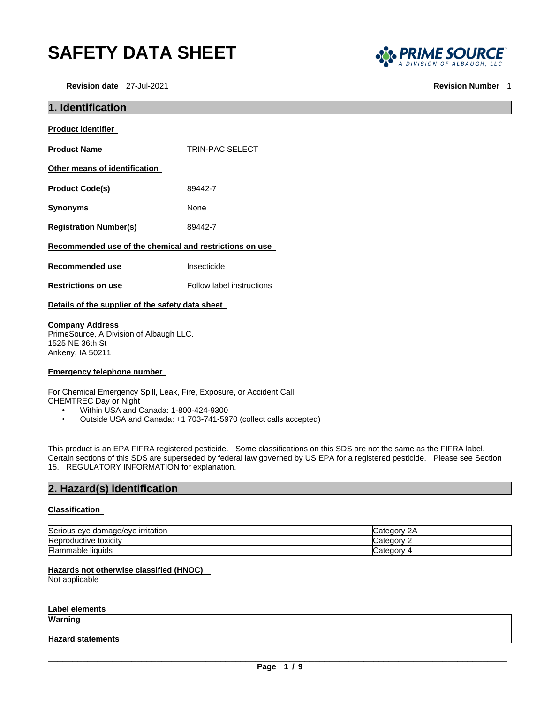# **SAFETY DATA SHEET**

**Revision date** 27-Jul-2021 **Revision Number** 1



| <b>TRIN-PAC SELECT</b>                                  |  |
|---------------------------------------------------------|--|
|                                                         |  |
| 89442-7                                                 |  |
| None                                                    |  |
| 89442-7                                                 |  |
| Recommended use of the chemical and restrictions on use |  |
| Insecticide                                             |  |
| Follow label instructions                               |  |
| Details of the supplier of the safety data sheet        |  |
|                                                         |  |

**Company Address**

PrimeSource, A Division of Albaugh LLC. 1525 NE 36th St Ankeny, IA 50211

#### **Emergency telephone number**

For Chemical Emergency Spill, Leak, Fire, Exposure, or Accident Call CHEMTREC Day or Night

- Within USA and Canada: 1-800-424-9300
- Outside USA and Canada: +1 703-741-5970 (collect calls accepted)

This product is an EPA FIFRA registered pesticide. Some classifications on this SDS are not the same as the FIFRA label. Certain sections of this SDS are superseded by federal law governed by US EPA for a registered pesticide. Please see Section 15. REGULATORY INFORMATION for explanation.

### **2. Hazard(s) identification**

#### **Classification**

| Serious<br>edamage/eve irritation {<br>eve . | ′ ategoryب<br>∠г      |
|----------------------------------------------|-----------------------|
| Reproductive toxicity                        | ategory.<br>Udlt<br>- |
| Flammable liquids                            | ∵ atedorvټ            |

#### **Hazards not otherwise classified (HNOC)**

Not applicable

#### **Label elements**

**Warning** 

#### **Hazard statements**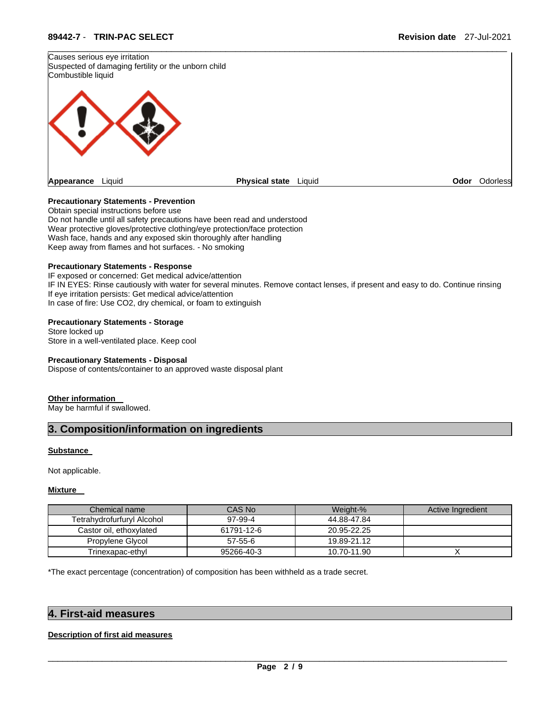

#### **Precautionary Statements - Prevention**

Obtain special instructions before use Do not handle until all safety precautions have been read and understood Wear protective gloves/protective clothing/eye protection/face protection Wash face, hands and any exposed skin thoroughly after handling Keep away from flames and hot surfaces. - No smoking

#### **Precautionary Statements - Response**

IF exposed or concerned: Get medical advice/attention IF IN EYES: Rinse cautiously with water for several minutes. Remove contact lenses, if present and easy to do. Continue rinsing If eye irritation persists: Get medical advice/attention In case of fire: Use CO2, dry chemical, or foam to extinguish

#### **Precautionary Statements - Storage**

Store locked up Store in a well-ventilated place. Keep cool

#### **Precautionary Statements - Disposal**

Dispose of contents/container to an approved waste disposal plant

#### **Other information**

May be harmful if swallowed.

### **3. Composition/information on ingredients**

#### **Substance**

Not applicable.

#### **Mixture**

| Chemical name              | CAS No     | Weight-%    | Active Ingredient |
|----------------------------|------------|-------------|-------------------|
| Tetrahydrofurfuryl Alcohol | 97-99-4    | 44.88-47.84 |                   |
| Castor oil, ethoxylated    | 61791-12-6 | 20.95-22.25 |                   |
| Propylene Glycol           | 57-55-6    | 19.89-21.12 |                   |
| Trinexapac-ethyl           | 95266-40-3 | 10.70-11.90 |                   |

\*The exact percentage (concentration) of composition has been withheld as a trade secret.

#### **4. First-aid measures**

#### **Description of first aid measures**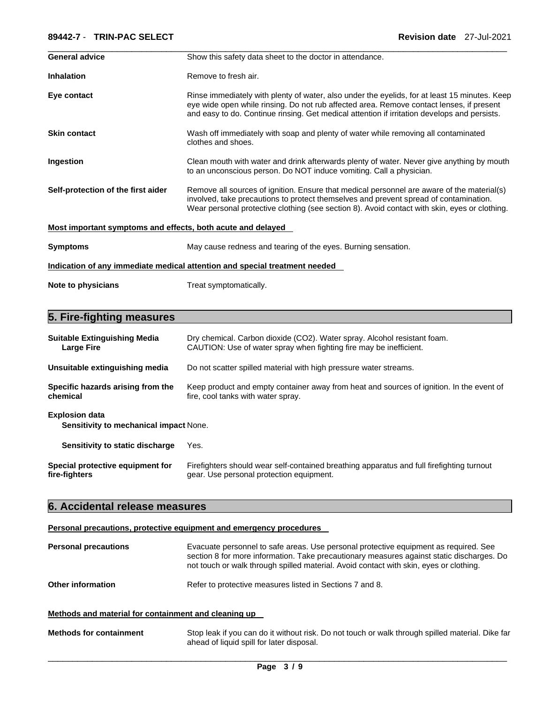#### **89442-7** - **TRIN-PAC SELECT Revision date** 27-Jul-2021

| <b>General advice</b>                                       | Show this safety data sheet to the doctor in attendance.                                                                                                                                                                                                                                  |
|-------------------------------------------------------------|-------------------------------------------------------------------------------------------------------------------------------------------------------------------------------------------------------------------------------------------------------------------------------------------|
| <b>Inhalation</b>                                           | Remove to fresh air.                                                                                                                                                                                                                                                                      |
| Eye contact                                                 | Rinse immediately with plenty of water, also under the eyelids, for at least 15 minutes. Keep<br>eye wide open while rinsing. Do not rub affected area. Remove contact lenses, if present<br>and easy to do. Continue rinsing. Get medical attention if irritation develops and persists. |
| <b>Skin contact</b>                                         | Wash off immediately with soap and plenty of water while removing all contaminated<br>clothes and shoes.                                                                                                                                                                                  |
| Ingestion                                                   | Clean mouth with water and drink afterwards plenty of water. Never give anything by mouth<br>to an unconscious person. Do NOT induce vomiting. Call a physician.                                                                                                                          |
| Self-protection of the first aider                          | Remove all sources of ignition. Ensure that medical personnel are aware of the material(s)<br>involved, take precautions to protect themselves and prevent spread of contamination.<br>Wear personal protective clothing (see section 8). Avoid contact with skin, eyes or clothing.      |
| Most important symptoms and effects, both acute and delayed |                                                                                                                                                                                                                                                                                           |
| <b>Symptoms</b>                                             | May cause redness and tearing of the eyes. Burning sensation.                                                                                                                                                                                                                             |
|                                                             | Indication of any immediate medical attention and special treatment needed                                                                                                                                                                                                                |
| Note to physicians                                          | Treat symptomatically.                                                                                                                                                                                                                                                                    |

### **5. Fire-fighting measures**

| <b>Suitable Extinguishing Media</b>                             | Dry chemical. Carbon dioxide (CO2). Water spray. Alcohol resistant foam.                  |
|-----------------------------------------------------------------|-------------------------------------------------------------------------------------------|
| <b>Large Fire</b>                                               | CAUTION: Use of water spray when fighting fire may be inefficient.                        |
| Unsuitable extinguishing media                                  | Do not scatter spilled material with high pressure water streams.                         |
| Specific hazards arising from the                               | Keep product and empty container away from heat and sources of ignition. In the event of  |
| chemical                                                        | fire, cool tanks with water spray.                                                        |
| <b>Explosion data</b><br>Sensitivity to mechanical impact None. |                                                                                           |
| Sensitivity to static discharge                                 | Yes.                                                                                      |
| Special protective equipment for                                | Firefighters should wear self-contained breathing apparatus and full firefighting turnout |
| fire-fighters                                                   | gear. Use personal protection equipment.                                                  |

### **6. Accidental release measures**

#### **Personal precautions, protective equipment and emergency procedures**

| <b>Personal precautions</b> | Evacuate personnel to safe areas. Use personal protective equipment as required. See<br>section 8 for more information. Take precautionary measures against static discharges. Do<br>not touch or walk through spilled material. Avoid contact with skin, eyes or clothing. |
|-----------------------------|-----------------------------------------------------------------------------------------------------------------------------------------------------------------------------------------------------------------------------------------------------------------------------|
| <b>Other information</b>    | Refer to protective measures listed in Sections 7 and 8.                                                                                                                                                                                                                    |

#### **Methods and material for containment and cleaning up**

| <b>Methods for containment</b> | Stop leak if you can do it without risk. Do not touch or walk through spilled material. Dike far |
|--------------------------------|--------------------------------------------------------------------------------------------------|
|                                | ahead of liquid spill for later disposal.                                                        |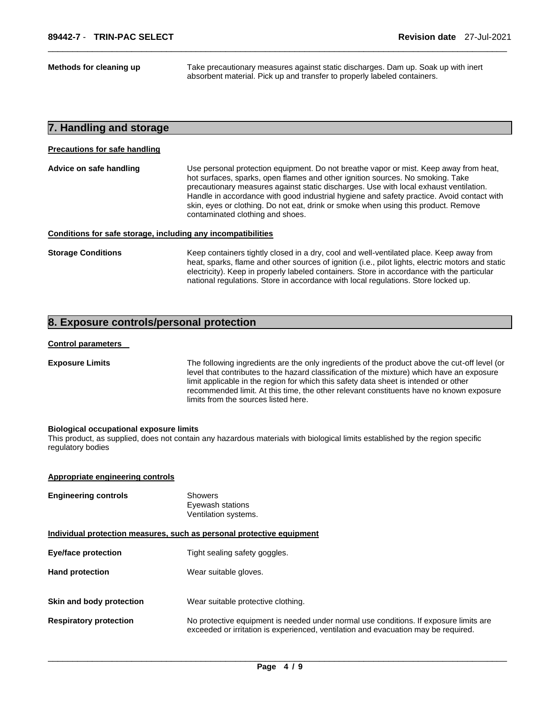**Methods for cleaning up** Take precautionary measures against static discharges. Dam up. Soak up with inert absorbent material. Pick up and transfer to properly labeled containers.

#### **7. Handling and storage**

#### **Precautions for safe handling**

**Advice on safe handling** Use personal protection equipment. Do not breathe vapor or mist. Keep away from heat, hot surfaces, sparks, open flames and other ignition sources. No smoking. Take precautionary measures against static discharges. Use with local exhaust ventilation. Handle in accordance with good industrial hygiene and safety practice. Avoid contact with skin, eyes or clothing. Do not eat, drink or smoke when using this product. Remove contaminated clothing and shoes.

\_\_\_\_\_\_\_\_\_\_\_\_\_\_\_\_\_\_\_\_\_\_\_\_\_\_\_\_\_\_\_\_\_\_\_\_\_\_\_\_\_\_\_\_\_\_\_\_\_\_\_\_\_\_\_\_\_\_\_\_\_\_\_\_\_\_\_\_\_\_\_\_\_\_\_\_\_\_\_\_\_\_\_\_\_\_\_\_\_\_\_\_\_

#### **Conditions for safe storage, including any incompatibilities**

**Storage Conditions Keep containers tightly closed in a dry, cool and well-ventilated place. Keep away from** heat, sparks, flame and other sources of ignition (i.e., pilot lights, electric motors and static electricity). Keep in properly labeled containers. Store in accordance with the particular national regulations. Store in accordance with local regulations. Store locked up.

### **8. Exposure controls/personal protection**

#### **Control parameters**

**Exposure Limits** The following ingredients are the only ingredients of the product above the cut-off level (or level that contributes to the hazard classification of the mixture) which have an exposure limit applicable in the region for which this safety data sheet is intended or other recommended limit. At this time, the other relevant constituents have no known exposure limits from the sources listed here.

#### **Biological occupational exposure limits**

This product, as supplied, does not contain any hazardous materials with biological limits established by the region specific regulatory bodies

#### **Appropriate engineering controls**

| <b>Engineering controls</b>                                           | <b>Showers</b><br>Eyewash stations<br>Ventilation systems.                                                                                                                  |  |
|-----------------------------------------------------------------------|-----------------------------------------------------------------------------------------------------------------------------------------------------------------------------|--|
| Individual protection measures, such as personal protective equipment |                                                                                                                                                                             |  |
| <b>Eye/face protection</b>                                            | Tight sealing safety goggles.                                                                                                                                               |  |
| <b>Hand protection</b>                                                | Wear suitable gloves.                                                                                                                                                       |  |
| Skin and body protection                                              | Wear suitable protective clothing.                                                                                                                                          |  |
| <b>Respiratory protection</b>                                         | No protective equipment is needed under normal use conditions. If exposure limits are<br>exceeded or irritation is experienced, ventilation and evacuation may be required. |  |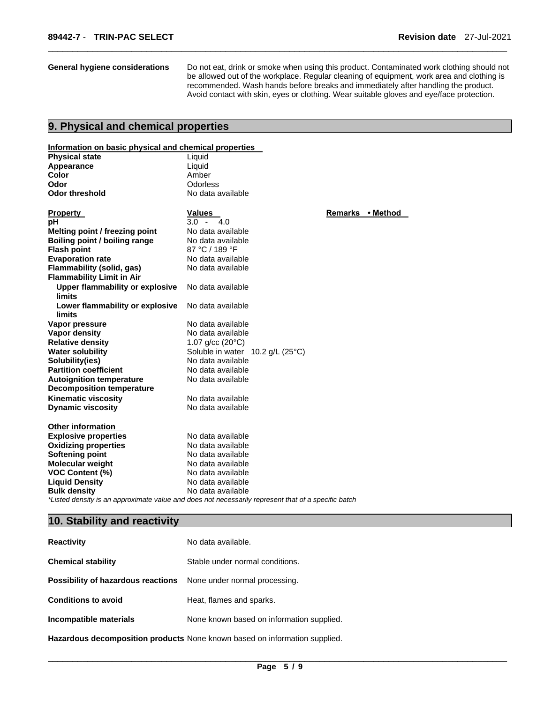**General hygiene considerations** Do not eat, drink or smoke when using this product. Contaminated work clothing should not be allowed out of the workplace. Regular cleaning of equipment, work area and clothing is recommended. Wash hands before breaks and immediately after handling the product. Avoid contact with skin, eyes or clothing. Wear suitable gloves and eye/face protection.

\_\_\_\_\_\_\_\_\_\_\_\_\_\_\_\_\_\_\_\_\_\_\_\_\_\_\_\_\_\_\_\_\_\_\_\_\_\_\_\_\_\_\_\_\_\_\_\_\_\_\_\_\_\_\_\_\_\_\_\_\_\_\_\_\_\_\_\_\_\_\_\_\_\_\_\_\_\_\_\_\_\_\_\_\_\_\_\_\_\_\_\_\_

### **9. Physical and chemical properties**

#### **Information on basic physical and chemical properties**

| <b>Physical state</b>                                         | Liquid                             |                  |  |
|---------------------------------------------------------------|------------------------------------|------------------|--|
| Appearance                                                    | Liquid                             |                  |  |
| Color                                                         | Amber                              |                  |  |
| Odor                                                          | Odorless                           |                  |  |
| <b>Odor threshold</b>                                         | No data available                  |                  |  |
| <b>Property</b>                                               | <b>Values</b>                      | Remarks • Method |  |
| рH                                                            | $3.0 -$<br>4.0                     |                  |  |
| Melting point / freezing point                                | No data available                  |                  |  |
| Boiling point / boiling range                                 | No data available                  |                  |  |
| <b>Flash point</b>                                            | 87 °C / 189 °F                     |                  |  |
| <b>Evaporation rate</b>                                       | No data available                  |                  |  |
| Flammability (solid, gas)<br><b>Flammability Limit in Air</b> | No data available                  |                  |  |
| Upper flammability or explosive<br><b>limits</b>              | No data available                  |                  |  |
| Lower flammability or explosive<br>limits                     | No data available                  |                  |  |
| Vapor pressure                                                | No data available                  |                  |  |
| <b>Vapor density</b>                                          | No data available                  |                  |  |
| <b>Relative density</b>                                       | 1.07 g/cc $(20^{\circ}C)$          |                  |  |
| <b>Water solubility</b>                                       | Soluble in water $10.2$ g/L (25°C) |                  |  |
| Solubility(ies)                                               | No data available                  |                  |  |
| <b>Partition coefficient</b>                                  | No data available                  |                  |  |
| <b>Autoignition temperature</b>                               | No data available                  |                  |  |
| <b>Decomposition temperature</b>                              |                                    |                  |  |
| <b>Kinematic viscosity</b>                                    | No data available                  |                  |  |
| <b>Dynamic viscosity</b>                                      | No data available                  |                  |  |
| <b>Other information</b>                                      |                                    |                  |  |
| <b>Explosive properties</b>                                   | No data available                  |                  |  |
| <b>Oxidizing properties</b>                                   | No data available                  |                  |  |
| <b>Softening point</b>                                        | No data available                  |                  |  |
| <b>Molecular weight</b>                                       | No data available                  |                  |  |
| <b>VOC Content (%)</b>                                        | No data available                  |                  |  |
| <b>Liquid Density</b>                                         | No data available                  |                  |  |
| <b>Bulk density</b>                                           | No data available                  |                  |  |

*\*Listed density is an approximate value and does not necessarily represent that of a specific batch* 

#### **10. Stability and reactivity**

| <b>Reactivity</b>                                                       | No data available.                                                            |
|-------------------------------------------------------------------------|-------------------------------------------------------------------------------|
| <b>Chemical stability</b>                                               | Stable under normal conditions.                                               |
| <b>Possibility of hazardous reactions</b> None under normal processing. |                                                                               |
| <b>Conditions to avoid</b>                                              | Heat, flames and sparks.                                                      |
| Incompatible materials                                                  | None known based on information supplied.                                     |
|                                                                         | Hamanda ua decemperaditam musdurata Napa bosque hased en information cupulisd |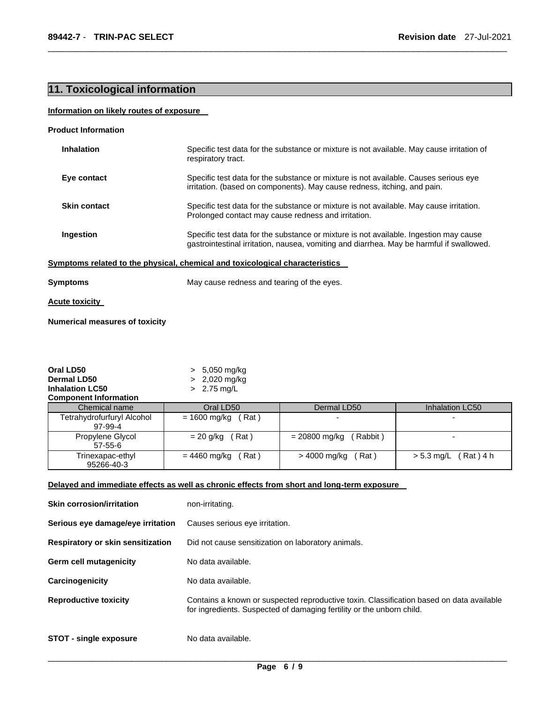## **11. Toxicological information**

#### **Information on likely routes of exposure**

| <b>Product Information</b> |  |
|----------------------------|--|
|----------------------------|--|

| <b>Inhalation</b>   | Specific test data for the substance or mixture is not available. May cause irritation of<br>respiratory tract.                                                                   |
|---------------------|-----------------------------------------------------------------------------------------------------------------------------------------------------------------------------------|
| Eye contact         | Specific test data for the substance or mixture is not available. Causes serious eye<br>irritation. (based on components). May cause redness, itching, and pain.                  |
| <b>Skin contact</b> | Specific test data for the substance or mixture is not available. May cause irritation.<br>Prolonged contact may cause redness and irritation.                                    |
| Ingestion           | Specific test data for the substance or mixture is not available. Ingestion may cause<br>gastrointestinal irritation, nausea, vomiting and diarrhea. May be harmful if swallowed. |
|                     | Symptoms related to the physical, chemical and toxicological characteristics                                                                                                      |
| <b>Symptoms</b>     | May cause redness and tearing of the eyes.                                                                                                                                        |

\_\_\_\_\_\_\_\_\_\_\_\_\_\_\_\_\_\_\_\_\_\_\_\_\_\_\_\_\_\_\_\_\_\_\_\_\_\_\_\_\_\_\_\_\_\_\_\_\_\_\_\_\_\_\_\_\_\_\_\_\_\_\_\_\_\_\_\_\_\_\_\_\_\_\_\_\_\_\_\_\_\_\_\_\_\_\_\_\_\_\_\_\_

**Acute toxicity** 

**Numerical measures of toxicity**

| Oral LD50                             | 5,050 mg/kg               |                          |                          |
|---------------------------------------|---------------------------|--------------------------|--------------------------|
| Dermal LD50                           | $> 2,020$ mg/kg           |                          |                          |
| <b>Inhalation LC50</b>                | 2.75 mg/L<br>$\mathbf{r}$ |                          |                          |
| <b>Component Information</b>          |                           |                          |                          |
| Chemical name                         | Oral LD50                 | Dermal LD50              | Inhalation LC50          |
| Tetrahydrofurfuryl Alcohol<br>97-99-4 | $= 1600$ mg/kg<br>(Rat)   | $\overline{\phantom{0}}$ | $\overline{\phantom{0}}$ |
| Propylene Glycol<br>$57 - 55 - 6$     | (Rat)<br>= 20 g/kg        | Rabbit)<br>= 20800 mg/kg | $\overline{\phantom{0}}$ |
| Trinexapac-ethyl<br>95266-40-3        | (Rat)<br>= 4460 mg/kg     | Rat)<br>> 4000 mg/kg     | (Rat)4 h<br>$> 5.3$ mg/L |

#### **Delayed and immediate effects as well as chronic effects from short and long-term exposure**

| <b>Skin corrosion/irritation</b>  | non-irritating.                                                                                                                                                   |
|-----------------------------------|-------------------------------------------------------------------------------------------------------------------------------------------------------------------|
| Serious eye damage/eye irritation | Causes serious eye irritation.                                                                                                                                    |
| Respiratory or skin sensitization | Did not cause sensitization on laboratory animals.                                                                                                                |
| <b>Germ cell mutagenicity</b>     | No data available.                                                                                                                                                |
| Carcinogenicity                   | No data available.                                                                                                                                                |
| <b>Reproductive toxicity</b>      | Contains a known or suspected reproductive toxin. Classification based on data available<br>for ingredients. Suspected of damaging fertility or the unborn child. |
| <b>STOT - single exposure</b>     | No data available.                                                                                                                                                |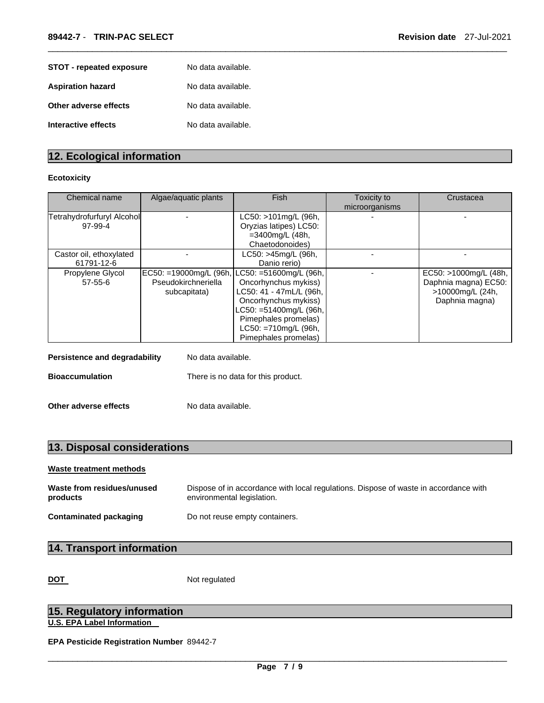| <b>STOT</b> - repeated exposure | No data available. |
|---------------------------------|--------------------|
| <b>Aspiration hazard</b>        | No data available. |
| Other adverse effects           | No data available. |
| Interactive effects             | No data available. |

### **12. Ecological information**

#### **Ecotoxicity**

| Chemical name                                              | Algae/aquatic plants                                          | Fish                                                                                                                                                                                                     | Toxicity to<br>microorganisms | Crustacea                                                                           |
|------------------------------------------------------------|---------------------------------------------------------------|----------------------------------------------------------------------------------------------------------------------------------------------------------------------------------------------------------|-------------------------------|-------------------------------------------------------------------------------------|
| Tetrahydrofurfuryl Alcohol<br>97-99-4                      |                                                               | LC50: >101mg/L (96h,<br>Oryzias latipes) LC50:<br>=3400mg/L (48h,<br>Chaetodonoides)                                                                                                                     |                               |                                                                                     |
| Castor oil, ethoxylated<br>61791-12-6                      |                                                               | LC50: >45mg/L (96h,<br>Danio rerio)                                                                                                                                                                      |                               |                                                                                     |
| Propylene Glycol<br>$57 - 55 - 6$                          | EC50: =19000mg/L (96h,<br>Pseudokirchneriella<br>subcapitata) | LC50: =51600mg/L (96h,<br>Oncorhynchus mykiss)<br>LC50: 41 - 47mL/L (96h,<br>Oncorhynchus mykiss)<br>LC50: =51400mg/L (96h,  <br>Pimephales promelas)<br>$LC50: = 710mg/L$ (96h,<br>Pimephales promelas) |                               | EC50: >1000mg/L (48h,<br>Daphnia magna) EC50:<br>>10000mg/L (24h,<br>Daphnia magna) |
| <b>Persistence and degradability</b><br>No data available. |                                                               |                                                                                                                                                                                                          |                               |                                                                                     |
| <b>Bioaccumulation</b>                                     |                                                               | There is no data for this product.                                                                                                                                                                       |                               |                                                                                     |

\_\_\_\_\_\_\_\_\_\_\_\_\_\_\_\_\_\_\_\_\_\_\_\_\_\_\_\_\_\_\_\_\_\_\_\_\_\_\_\_\_\_\_\_\_\_\_\_\_\_\_\_\_\_\_\_\_\_\_\_\_\_\_\_\_\_\_\_\_\_\_\_\_\_\_\_\_\_\_\_\_\_\_\_\_\_\_\_\_\_\_\_\_

| Other adverse effects | No data available. |
|-----------------------|--------------------|

## **13. Disposal considerations**

#### **Waste treatment methods**

| Waste from residues/unused | Dispose of in accordance with local regulations. Dispose of waste in accordance with |
|----------------------------|--------------------------------------------------------------------------------------|
| products                   | environmental legislation.                                                           |
| Contaminated packaging     | Do not reuse empty containers.                                                       |

### **14. Transport information**

**DOT** Not regulated

### **15. Regulatory information U.S. EPA Label Information**

**EPA Pesticide Registration Number** 89442-7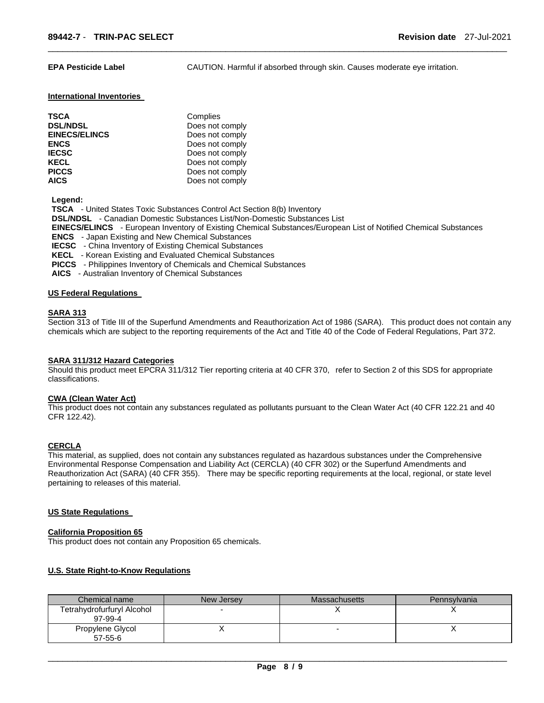**EPA Pesticide Label** CAUTION. Harmful if absorbed through skin. Causes moderate eye irritation.

#### **International Inventories**

| <b>TSCA</b>          | Complies        |
|----------------------|-----------------|
| <b>DSL/NDSL</b>      | Does not comply |
| <b>EINECS/ELINCS</b> | Does not comply |
| <b>ENCS</b>          | Does not comply |
| <b>IECSC</b>         | Does not comply |
| <b>KECL</b>          | Does not comply |
| <b>PICCS</b>         | Does not comply |
| <b>AICS</b>          | Does not comply |

**Legend:** 

**TSCA** - United States Toxic Substances Control Act Section 8(b) Inventory

**DSL/NDSL** - Canadian Domestic Substances List/Non-Domestic Substances List

**EINECS/ELINCS** - European Inventory of Existing Chemical Substances/European List of Notified Chemical Substances

\_\_\_\_\_\_\_\_\_\_\_\_\_\_\_\_\_\_\_\_\_\_\_\_\_\_\_\_\_\_\_\_\_\_\_\_\_\_\_\_\_\_\_\_\_\_\_\_\_\_\_\_\_\_\_\_\_\_\_\_\_\_\_\_\_\_\_\_\_\_\_\_\_\_\_\_\_\_\_\_\_\_\_\_\_\_\_\_\_\_\_\_\_

**ENCS** - Japan Existing and New Chemical Substances

**IECSC** - China Inventory of Existing Chemical Substances

**KECL** - Korean Existing and Evaluated Chemical Substances

**PICCS** - Philippines Inventory of Chemicals and Chemical Substances

**AICS** - Australian Inventory of Chemical Substances

#### **US Federal Regulations**

#### **SARA 313**

Section 313 of Title III of the Superfund Amendments and Reauthorization Act of 1986 (SARA). This product does not contain any chemicals which are subject to the reporting requirements of the Act and Title 40 of the Code of Federal Regulations, Part 372.

#### **SARA 311/312 Hazard Categories**

Should this product meet EPCRA 311/312 Tier reporting criteria at 40 CFR 370, refer to Section 2 of this SDS for appropriate classifications.

#### **CWA (Clean Water Act)**

This product does not contain any substances regulated as pollutants pursuant to the Clean Water Act (40 CFR 122.21 and 40 CFR 122.42).

#### **CERCLA**

This material, as supplied, does not contain any substances regulated as hazardous substances under the Comprehensive Environmental Response Compensation and Liability Act (CERCLA) (40 CFR 302) or the Superfund Amendments and Reauthorization Act (SARA) (40 CFR 355). There may be specific reporting requirements at the local, regional, or state level pertaining to releases of this material.

#### **US State Regulations**

#### **California Proposition 65**

This product does not contain any Proposition 65 chemicals.

#### **U.S. State Right-to-Know Regulations**

| Chemical name                         | New Jersey | <b>Massachusetts</b> | Pennsylvania |
|---------------------------------------|------------|----------------------|--------------|
| Tetrahydrofurfuryl Alcohol<br>97-99-4 |            |                      |              |
| Propylene Glycol<br>$57 - 55 - 6$     |            |                      |              |